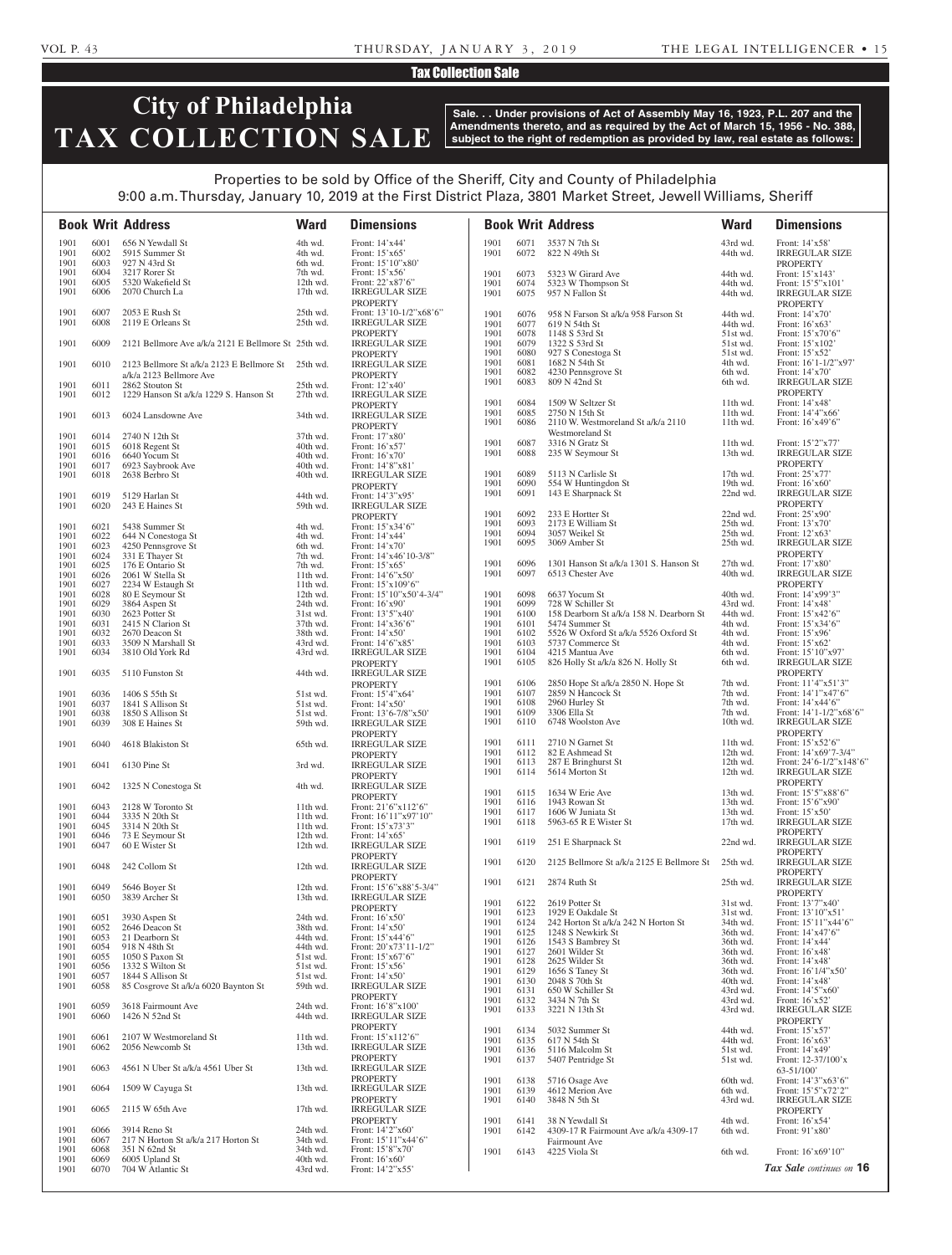## VOL P. 43 THURSDAY, JANUARY 3, 2019 THE LEGAL INTELLIGENCER • 15

# Tax Collection Sale

# **City of Philadelphia TAX COLLECTION SALE**

**Sale. . . Under provisions of Act of Assembly May 16, 1923, P.L. 207 and the Amendments thereto, and as required by the Act of March 15, 1956 - No. 388, subject to the right of redemption as provided by law, real estate as follows:**

# Properties to be sold by Office of the Sheriff, City and County of Philadelphia

9:00 a.m. Thursday, January 10, 2019 at the First District Plaza, 3801 Market Street, Jewell Williams, Sheriff

|              |              | <b>Book Writ Address</b>                                  | <b>Ward</b>            | <b>Dimensions</b>                           |              |              | <b>Book Writ Address</b>                                 | <b>Ward</b>          | <b>Dimensions</b>                                          |
|--------------|--------------|-----------------------------------------------------------|------------------------|---------------------------------------------|--------------|--------------|----------------------------------------------------------|----------------------|------------------------------------------------------------|
| 1901         | 6001         | 656 N Yewdall St                                          | 4th wd.                | Front: 14'x44'                              | 1901         | 6071         | 3537 N 7th St                                            | 43rd wd.             | Front: 14'x58'                                             |
| 1901<br>1901 | 6002<br>6003 | 5915 Summer St<br>927 N 43rd St                           | 4th wd.<br>6th wd.     | Front: $15'x65'$<br>Front: 15'10"x80"       | 1901         | 6072         | 822 N 49th St                                            | 44th wd.             | <b>IRREGULAR SIZE</b><br><b>PROPERTY</b>                   |
| 1901         | 6004         | 3217 Rorer St                                             | 7th wd.                | Front: $15'x56'$                            | 1901         | 6073         | 5323 W Girard Ave                                        | 44th wd.             | Front: 15'x143'                                            |
| 1901<br>1901 | 6005<br>6006 | 5320 Wakefield St<br>2070 Church La                       | 12th wd.<br>$17th$ wd. | Front: 22'x87'6"<br><b>IRREGULAR SIZE</b>   | 1901         | 6074         | 5323 W Thompson St                                       | 44th wd.             | Front: 15'5"x101'                                          |
| 1901         | 6007         | 2053 E Rush St                                            | 25th wd.               | <b>PROPERTY</b><br>Front: 13'10-1/2"x68'6"  | 1901<br>1901 | 6075<br>6076 | 957 N Fallon St<br>958 N Farson St a/k/a 958 Farson St   | 44th wd.<br>44th wd. | <b>IRREGULAR SIZE</b><br><b>PROPERTY</b><br>Front: 14'x70' |
| 1901         | 6008         | 2119 E Orleans St                                         | 25th wd.               | <b>IRREGULAR SIZE</b>                       | 1901         | 6077         | 619 N 54th St                                            | 44th wd.             | Front: $16'x63'$                                           |
| 1901         | 6009         | 2121 Bellmore Ave a/k/a 2121 E Bellmore St 25th wd.       |                        | <b>PROPERTY</b><br><b>IRREGULAR SIZE</b>    | 1901<br>1901 | 6078<br>6079 | 1148 S 53rd St<br>1322 S 53rd St                         | 51st wd.<br>51st wd. | Front: $15'$ x70'6"<br>Front: 15'x102'                     |
| 1901         | 6010         | 2123 Bellmore St a/k/a 2123 E Bellmore St                 | 25th wd.               | <b>PROPERTY</b><br><b>IRREGULAR SIZE</b>    | 1901<br>1901 | 6080<br>6081 | 927 S Conestoga St<br>1682 N 54th St                     | 51st wd.<br>4th wd.  | Front: 15'x52'<br>Front: $16'1-1/2''x97'$                  |
|              |              | a/k/a 2123 Bellmore Ave                                   |                        | <b>PROPERTY</b>                             | 1901<br>1901 | 6082<br>6083 | 4230 Pennsgrove St<br>809 N 42nd St                      | 6th wd.<br>6th wd.   | Front: 14'x70'<br><b>IRREGULAR SIZE</b>                    |
| 1901<br>1901 | 6011<br>6012 | 2862 Stouton St<br>1229 Hanson St a/k/a 1229 S. Hanson St | 25th wd.<br>27th wd.   | Front: 12'x40'<br><b>IRREGULAR SIZE</b>     |              |              |                                                          |                      | <b>PROPERTY</b>                                            |
| 1901         | 6013         | 6024 Lansdowne Ave                                        | 34th wd.               | <b>PROPERTY</b><br><b>IRREGULAR SIZE</b>    | 1901<br>1901 | 6084<br>6085 | 1509 W Seltzer St<br>2750 N 15th St                      | 11th wd.<br>11th wd. | Front: 14'x48'<br>Front: $14'4''x66'$                      |
|              |              |                                                           |                        | <b>PROPERTY</b>                             | 1901         | 6086         | 2110 W. Westmoreland St a/k/a 2110                       | 11th wd.             | Front: 16'x49'6"                                           |
| 1901         | 6014         | 2740 N 12th St                                            | 37th wd.               | Front: 17'x80'                              | 1901         | 6087         | Westmoreland St<br>3316 N Gratz St                       | 11th wd.             | Front: 15'2"x77'                                           |
| 1901<br>1901 | 6015<br>6016 | 6018 Regent St<br>6640 Yocum St                           | 40th wd.<br>40th wd.   | Front: 16'x57'<br>Front: $16'x70'$          | 1901         | 6088         | 235 W Seymour St                                         | 13th wd.             | <b>IRREGULAR SIZE</b>                                      |
| 1901         | 6017         | 6923 Saybrook Ave                                         | 40th wd.               | Front: 14'8"x81'                            |              |              |                                                          |                      | <b>PROPERTY</b>                                            |
| 1901         | 6018         | 2638 Berbro St                                            | 40th wd.               | <b>IRREGULAR SIZE</b>                       | 1901<br>1901 | 6089<br>6090 | 5113 N Carlisle St<br>554 W Huntingdon St                | 17th wd.<br>19th wd. | Front: 25'x77'<br>Front: $16'x60'$                         |
| 1901         | 6019         | 5129 Harlan St                                            | 44th wd.               | <b>PROPERTY</b><br>Front: 14'3"x95'         | 1901         | 6091         | 143 E Sharpnack St                                       | 22nd wd.             | <b>IRREGULAR SIZE</b>                                      |
| 1901         | 6020         | 243 E Haines St                                           | 59th wd.               | <b>IRREGULAR SIZE</b>                       |              |              |                                                          |                      | <b>PROPERTY</b>                                            |
|              |              |                                                           |                        | <b>PROPERTY</b>                             | 1901<br>1901 | 6092<br>6093 | 233 E Hortter St<br>2173 E William St                    | 22nd wd.<br>25th wd. | Front: 25'x90'<br>Front: 13'x70'                           |
| 1901<br>1901 | 6021<br>6022 | 5438 Summer St<br>644 N Conestoga St                      | 4th wd.<br>4th wd.     | Front: 15'x34'6"<br>Front: 14'x44'          | 1901         | 6094         | 3057 Weikel St                                           | 25th wd.             | Front: 12'x63'                                             |
| 1901         | 6023         | 4250 Pennsgrove St                                        | 6th wd.                | Front: $14'x70'$                            | 1901         | 6095         | 3069 Amber St                                            | 25th wd.             | <b>IRREGULAR SIZE</b>                                      |
| 1901<br>1901 | 6024<br>6025 | 331 E Thayer St<br>176 E Ontario St                       | 7th wd.<br>7th wd.     | Front: 14'x46'10-3/8"<br>Front: 15'x65'     | 1901         | 6096         | 1301 Hanson St a/k/a 1301 S. Hanson St                   | 27th wd.             | <b>PROPERTY</b><br>Front: 17'x80'                          |
| 1901         | 6026         | 2061 W Stella St                                          | 11th wd.               | Front: 14'6"x50"                            | 1901         | 6097         | 6513 Chester Ave                                         | 40th wd.             | <b>IRREGULAR SIZE</b>                                      |
| 1901         | 6027         | 2234 W Estaugh St                                         | $11th$ wd.             | Front: $15'x109'6"$                         |              |              |                                                          |                      | <b>PROPERTY</b>                                            |
| 1901<br>1901 | 6028<br>6029 | 80 E Seymour St<br>3864 Aspen St                          | 12th wd.<br>24th wd.   | Front: 15'10"x50'4-3/4"<br>Front: $16'x90'$ | 1901<br>1901 | 6098<br>6099 | 6637 Yocum St<br>728 W Schiller St                       | 40th wd.<br>43rd wd. | Front: 14'x99'3"<br>Front: 14'x48'                         |
| 1901         | 6030         | 2623 Potter St                                            | 31st wd.               | Front: 13'5"x40"                            | 1901         | 6100         | 158 Dearborn St a/k/a 158 N. Dearborn St                 | 44th wd.             | Front: 15'x42'6"                                           |
| 1901<br>1901 | 6031<br>6032 | 2415 N Clarion St<br>2670 Deacon St                       | 37th wd.<br>38th wd.   | Front: 14'x36'6"<br>Front: $14'x50'$        | 1901<br>1901 | 6101<br>6102 | 5474 Summer St<br>5526 W Oxford St a/k/a 5526 Oxford St  | 4th wd.<br>4th wd.   | Front: 15'x34'6"<br>Front: 15'x96'                         |
| 1901         | 6033         | 3509 N Marshall St                                        | 43rd wd.               | Front: $14'6''x85'$                         | 1901         | 6103         | 5737 Commerce St                                         | 4th wd.              | Front: $15'x62'$                                           |
| 1901         | 6034         | 3810 Old York Rd                                          | 43rd wd.               | <b>IRREGULAR SIZE</b>                       | 1901<br>1901 | 6104<br>6105 | 4215 Mantua Ave                                          | 6th wd.              | Front: 15'10"x97'                                          |
| 1901         | 6035         | 5110 Funston St                                           | 44th wd.               | <b>PROPERTY</b><br><b>IRREGULAR SIZE</b>    |              |              | 826 Holly St a/k/a 826 N. Holly St                       | 6th wd.              | <b>IRREGULAR SIZE</b><br><b>PROPERTY</b>                   |
| 1901         | 6036         | 1406 S 55th St                                            | 51st wd.               | <b>PROPERTY</b><br>Front: 15'4"x64'         | 1901<br>1901 | 6106<br>6107 | 2850 Hope St a/k/a 2850 N. Hope St<br>2859 N Hancock St  | 7th wd.<br>7th wd.   | Front: 11'4"x51'3"<br>Front: 14'1"x47'6"                   |
| 1901         | 6037         | 1841 S Allison St                                         | 51st wd.               | Front: 14'x50'                              | 1901         | 6108         | 2960 Hurley St                                           | 7th wd.              | Front: 14'x44'6"                                           |
| 1901         | 6038         | 1850 S Allison St                                         | 51st wd.               | Front: 13'6-7/8"x50"                        | 1901<br>1901 | 6109<br>6110 | 3306 Ella St<br>6748 Woolston Ave                        | 7th wd.<br>10th wd.  | Front: $14'1 - 1/2''x68'6''$<br><b>IRREGULAR SIZE</b>      |
| 1901         | 6039         | 308 E Haines St                                           | 59th wd.               | <b>IRREGULAR SIZE</b><br>PROPERTY           |              |              |                                                          |                      | PROPERTY                                                   |
| 1901         | 6040         | 4618 Blakiston St                                         | 65th wd.               | <b>IRREGULAR SIZE</b><br><b>PROPERTY</b>    | 1901<br>1901 | 6111<br>6112 | 2710 N Garnet St<br>82 E Ashmead St                      | 11th wd.<br>12th wd. | Front: 15'x52'6"<br>Front: 14'x69'7-3/4"                   |
| 1901         | 6041         | 6130 Pine St                                              | 3rd wd.                | <b>IRREGULAR SIZE</b><br><b>PROPERTY</b>    | 1901<br>1901 | 6113<br>6114 | 287 E Bringhurst St<br>5614 Morton St                    | 12th wd.<br>12th wd. | Front: $24'6 - 1/2''x148'6''$<br><b>IRREGULAR SIZE</b>     |
| 1901         | 6042         | 1325 N Conestoga St                                       | 4th wd.                | <b>IRREGULAR SIZE</b>                       | 1901         | 6115         | 1634 W Erie Ave                                          | 13th wd.             | <b>PROPERTY</b><br>Front: 15'5"x88'6"                      |
| 1901         | 6043         |                                                           |                        | <b>PROPERTY</b>                             | 1901         | 6116         | 1943 Rowan St                                            | 13th wd.             | Front: 15'6"x90"                                           |
| 1901         | 6044         | 2128 W Toronto St<br>3335 N 20th St                       | 11th wd.<br>11th wd.   | Front: 21'6"x112'6"<br>Front: 16'11"x97'10" | 1901         | 6117         | 1606 W Juniata St                                        | 13th wd.             | Front: 15'x50'                                             |
| 1901         | 6045         | 3314 N 20th St                                            | $11th$ wd.             | Front: 15'x73'3"                            | 1901         | 6118         | 5963-65 R E Wister St                                    | 17th wd.             | <b>IRREGULAR SIZE</b><br><b>PROPERTY</b>                   |
| 1901<br>1901 | 6046<br>6047 | 73 E Seymour St<br>60 E Wister St                         | 12th wd.<br>12th wd.   | Front: 14'x65'<br><b>IRREGULAR SIZE</b>     | 1901         | 6119         | 251 E Sharpnack St                                       | 22nd wd.             | <b>IRREGULAR SIZE</b><br><b>PROPERTY</b>                   |
| 1901         | 6048         | 242 Collom St                                             | 12th wd.               | <b>PROPERTY</b><br><b>IRREGULAR SIZE</b>    | 1901         | 6120         | 2125 Bellmore St a/k/a 2125 E Bellmore St                | 25th wd.             | <b>IRREGULAR SIZE</b><br><b>PROPERTY</b>                   |
| 1901         | 6049         | 5646 Boyer St                                             | 12th wd.               | <b>PROPERTY</b><br>Front: 15'6"x88'5-3/4"   | 1901         | 6121         | 2874 Ruth St                                             | 25th wd.             | <b>IRREGULAR SIZE</b>                                      |
| 1901         | 6050         | 3839 Archer St                                            | 13th wd.               | <b>IRREGULAR SIZE</b>                       | 1901         | 6122         | 2619 Potter St                                           | 31st wd.             | <b>PROPERTY</b><br>Front: 13'7"x40"                        |
| 1901         | 6051         | 3930 Aspen St                                             | 24th wd.               | <b>PROPERTY</b><br>Front: 16'x50'           | 1901         | 6123         | 1929 E Oakdale St                                        | 31st wd.             | Front: 13'10"x51'                                          |
| 1901         | 6052         | 2646 Deacon St                                            | 38th wd.               | Front: 14'x50'                              | 1901<br>1901 | 6124<br>6125 | 242 Horton St a/k/a 242 N Horton St<br>1248 S Newkirk St | 34th wd.<br>36th wd. | Front: 15'11"x44'6"<br>Front: 14'x47'6"                    |
| 1901<br>1901 | 6053<br>6054 | 21 Dearborn St<br>918 N 48th St                           | 44th wd.<br>44th wd.   | Front: 15'x44'6"<br>Front: 20'x73'11-1/2"   | 1901         | 6126         | 1543 S Bambrey St                                        | 36th wd.             | Front: 14'x44'                                             |
| 1901         | 6055         | 1050 S Paxon St                                           | 51st wd.               | Front: 15'x67'6"                            | 1901<br>1901 | 6127<br>6128 | 2601 Wilder St<br>2625 Wilder St                         | 36th wd.<br>36th wd. | Front: 16'x48'<br>Front: 14'x48'                           |
| 1901         | 6056         | 1332 S Wilton St                                          | 51st wd.               | Front: 15'x56'                              | 1901         | 6129         | 1656 S Taney St                                          | 36th wd.             | Front: 16'1/4"x50'                                         |
| 1901<br>1901 | 6057<br>6058 | 1844 S Allison St<br>85 Cosgrove St a/k/a 6020 Baynton St | 51st wd.<br>59th wd.   | Front: 14'x50'<br><b>IRREGULAR SIZE</b>     | 1901         | 6130         | 2048 S 70th St                                           | 40th wd.             | Front: 14'x48'                                             |
|              |              |                                                           |                        | <b>PROPERTY</b>                             | 1901<br>1901 | 6131<br>6132 | 650 W Schiller St<br>3434 N 7th St                       | 43rd wd.<br>43rd wd. | Front: 14'5"x60"<br>Front: 16'x52'                         |
| 1901         | 6059         | 3618 Fairmount Ave                                        | 24th wd.               | Front: 16'8"x100"                           | 1901         | 6133         | 3221 N 13th St                                           | 43rd wd.             | <b>IRREGULAR SIZE</b>                                      |
| 1901         | 6060         | 1426 N 52nd St                                            | 44th wd.               | <b>IRREGULAR SIZE</b><br><b>PROPERTY</b>    |              |              |                                                          |                      | <b>PROPERTY</b>                                            |
| 1901         | 6061         | 2107 W Westmoreland St                                    | 11th wd.               | Front: $15'x112'6"$                         | 1901<br>1901 | 6134<br>6135 | 5032 Summer St<br>617 N 54th St                          | 44th wd.<br>44th wd. | Front: 15'x57'<br>Front: $16'x63'$                         |
| 1901         | 6062         | 2056 Newcomb St                                           | 13th wd.               | <b>IRREGULAR SIZE</b>                       | 1901         | 6136         | 5116 Malcolm St                                          | 51st wd.             | Front: 14'x49'                                             |
| 1901         | 6063         | 4561 N Uber St a/k/a 4561 Uber St                         | 13th wd.               | <b>PROPERTY</b><br><b>IRREGULAR SIZE</b>    | 1901         | 6137         | 5407 Pentridge St                                        | 51st wd.             | Front: 12-37/100'x<br>63-51/100                            |
| 1901         | 6064         | 1509 W Cayuga St                                          | 13th wd.               | <b>PROPERTY</b><br><b>IRREGULAR SIZE</b>    | 1901<br>1901 | 6138<br>6139 | 5716 Osage Ave<br>4612 Merion Ave                        | 60th wd.<br>6th wd.  | Front: 14'3"x63'6"<br>Front: 15'5"x72'2"                   |
| 1901         | 6065         | 2115 W 65th Ave                                           | 17th wd.               | <b>PROPERTY</b><br><b>IRREGULAR SIZE</b>    | 1901         | 6140         | 3848 N 5th St                                            | 43rd wd.             | <b>IRREGULAR SIZE</b><br><b>PROPERTY</b>                   |
| 1901         | 6066         | 3914 Reno St                                              | 24th wd.               | <b>PROPERTY</b><br>Front: 14'2"x60'         | 1901<br>1901 | 6141<br>6142 | 38 N Yewdall St                                          | 4th wd.              | Front: $16'x54'$                                           |
| 1901         | 6067         | 217 N Horton St a/k/a 217 Horton St                       | 34th wd.               | Front: 15'11"x44'6"                         |              |              | 4309-17 R Fairmount Ave a/k/a 4309-17<br>Fairmount Ave   | 6th wd.              | Front: 91'x80'                                             |
| 1901         | 6068         | 351 N 62nd St                                             | 34th wd.               | Front: 15'8"x70'                            | 1901         | 6143         | 4225 Viola St                                            | 6th wd.              | Front: 16'x69'10"                                          |
| 1901<br>1901 | 6069<br>6070 | 6005 Upland St<br>704 W Atlantic St                       | 40th wd.<br>43rd wd.   | Front: $16'x60'$<br>Front: 14'2"x55'        |              |              |                                                          |                      | Tax Sale continues on 16                                   |
|              |              |                                                           |                        |                                             |              |              |                                                          |                      |                                                            |